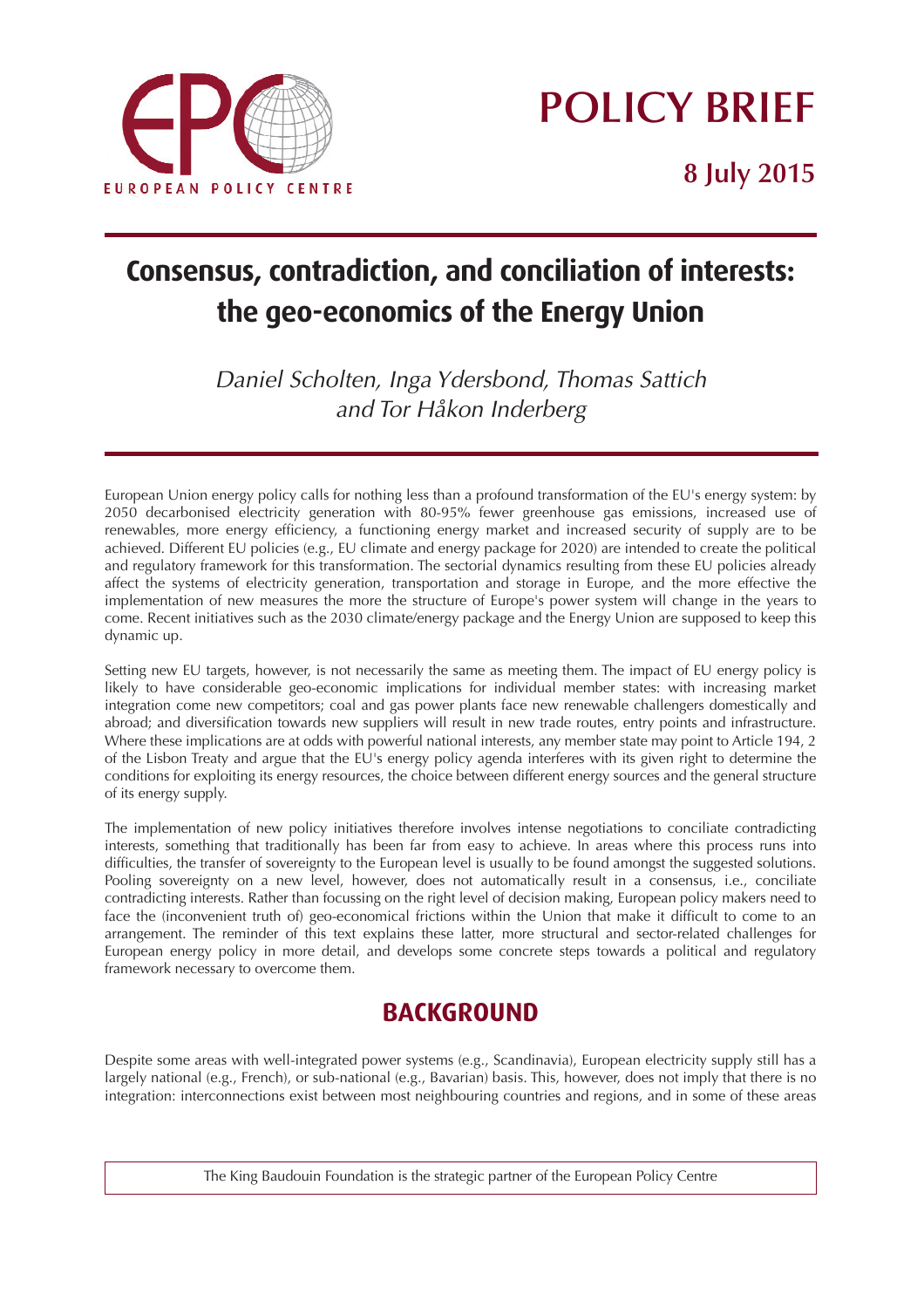

# **POLICY BRIEF**

**8 July 2015**

# **Consensus, contradiction, and conciliation of interests: the geo-economics of the Energy Union**

*Daniel Scholten, Inga Ydersbond, Thomas Sattich and Tor Håkon Inderberg*

*European Union energy policy calls for nothing less than a profound transformation of the EU's energy system: by 2050 decarbonised electricity generation with 80-95% fewer greenhouse gas emissions, increased use of renewables, more energy efficiency, a functioning energy market and increased security of supply are to be achieved. Different EU policies (e.g., EU climate and energy package for 2020) are intended to create the political and regulatory framework for this transformation. The sectorial dynamics resulting from these EU policies already affect the systems of electricity generation, transportation and storage in Europe, and the more effective the implementation of new measures the more the structure of Europe's power system will change in the years to come. Recent initiatives such as the 2030 climate/energy package and the Energy Union are supposed to keep this dynamic up.*

*Setting new EU targets, however, is not necessarily the same as meeting them. The impact of EU energy policy is likely to have considerable geo-economic implications for individual member states: with increasing market integration come new competitors; coal and gas power plants face new renewable challengers domestically and abroad; and diversification towards new suppliers will result in new trade routes, entry points and infrastructure. Where these implications are at odds with powerful national interests, any member state may point to Article 194, 2 of the Lisbon Treaty and argue that the EU's energy policy agenda interferes with its given right to determine the conditions for exploiting its energy resources, the choice between different energy sources and the general structure of its energy supply.* 

*The implementation of new policy initiatives therefore involves intense negotiations to conciliate contradicting interests, something that traditionally has been far from easy to achieve. In areas where this process runs into difficulties, the transfer of sovereignty to the European level is usually to be found amongst the suggested solutions. Pooling sovereignty on a new level, however, does not automatically result in a consensus, i.e., conciliate contradicting interests. Rather than focussing on the right level of decision making, European policy makers need to face the (inconvenient truth of) geo-economical frictions within the Union that make it difficult to come to an arrangement. The reminder of this text explains these latter, more structural and sector-related challenges for European energy policy in more detail, and develops some concrete steps towards a political and regulatory framework necessary to overcome them.*

## **BACKGROUND**

*Despite some areas with well-integrated power systems (e.g., Scandinavia), European electricity supply still has a largely national (e.g., French), or sub-national (e.g., Bavarian) basis. This, however, does not imply that there is no integration: interconnections exist between most neighbouring countries and regions, and in some of these areas*

*The King Baudouin Foundation is the strategic partner of the European Policy Centre*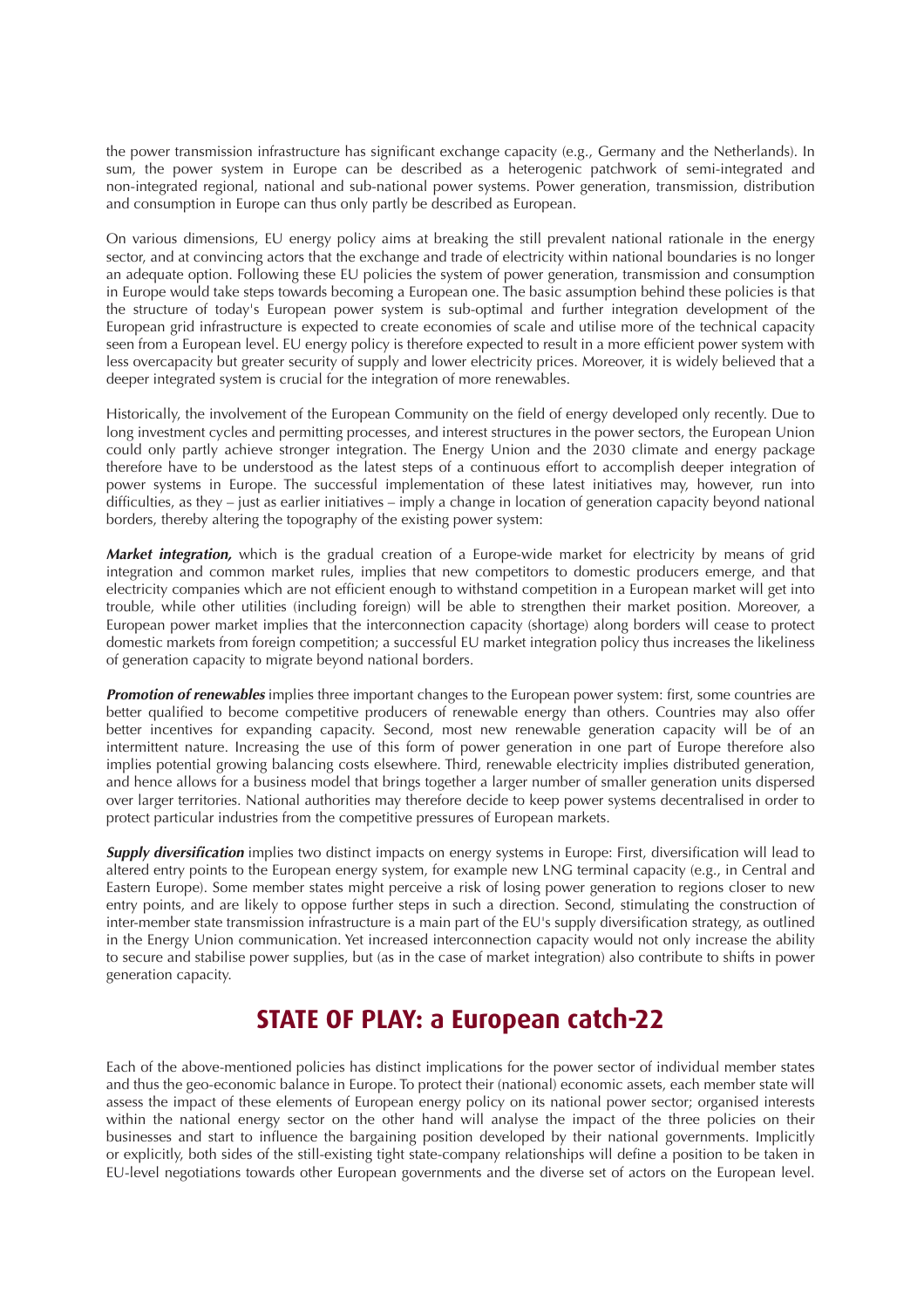the power transmission infrastructure has significant exchange capacity (e.g., Germany and the Netherlands). In sum, the power system in Europe can be described as a heterogenic patchwork of semi-integrated and non-integrated regional, national and sub-national power systems. Power generation, transmission, distribution and consumption in Europe can thus only partly be described as European.

On various dimensions, EU energy policy aims at breaking the still prevalent national rationale in the energy sector, and at convincing actors that the exchange and trade of electricity within national boundaries is no longer an adequate option. Following these EU policies the system of power generation, transmission and consumption in Europe would take steps towards becoming a European one. The basic assumption behind these policies is that the structure of today's European power system is sub-optimal and further integration development of the European grid infrastructure is expected to create economies of scale and utilise more of the technical capacity seen from a European level. EU energy policy is therefore expected to result in a more efficient power system with less overcapacity but greater security of supply and lower electricity prices. Moreover, it is widely believed that a deeper integrated system is crucial for the integration of more renewables.

Historically, the involvement of the European Community on the field of energy developed only recently. Due to long investment cycles and permitting processes, and interest structures in the power sectors, the European Union could only partly achieve stronger integration. The Energy Union and the 2030 climate and energy package therefore have to be understood as the latest steps of a continuous effort to accomplish deeper integration of power systems in Europe. The successful implementation of these latest initiatives may, however, run into difficulties, as they – just as earlier initiatives – imply a change in location of generation capacity beyond national borders, thereby altering the topography of the existing power system:

**Market integration,** which is the gradual creation of a Europe-wide market for electricity by means of grid integration and common market rules, implies that new competitors to domestic producers emerge, and that electricity companies which are not efficient enough to withstand competition in a European market will get into trouble, while other utilities (including foreign) will be able to strengthen their market position. Moreover, a European power market implies that the interconnection capacity (shortage) along borders will cease to protect domestic markets from foreign competition; a successful EU market integration policy thus increases the likeliness of generation capacity to migrate beyond national borders.

**Promotion of renewables** implies three important changes to the European power system: first, some countries are better qualified to become competitive producers of renewable energy than others. Countries may also offer better incentives for expanding capacity. Second, most new renewable generation capacity will be of an intermittent nature. Increasing the use of this form of power generation in one part of Europe therefore also implies potential growing balancing costs elsewhere. Third, renewable electricity implies distributed generation, and hence allows for a business model that brings together a larger number of smaller generation units dispersed over larger territories. National authorities may therefore decide to keep power systems decentralised in order to protect particular industries from the competitive pressures of European markets.

**Supply diversification** implies two distinct impacts on energy systems in Europe: First, diversification will lead to altered entry points to the European energy system, for example new LNG terminal capacity (e.g., in Central and Eastern Europe). Some member states might perceive a risk of losing power generation to regions closer to new entry points, and are likely to oppose further steps in such a direction. Second, stimulating the construction of inter-member state transmission infrastructure is a main part of the EU's supply diversification strategy, as outlined in the Energy Union communication. Yet increased interconnection capacity would not only increase the ability to secure and stabilise power supplies, but (as in the case of market integration) also contribute to shifts in power generation capacity.

### **STATE OF PLAY: a European catch-22**

Each of the above-mentioned policies has distinct implications for the power sector of individual member states and thus the geo-economic balance in Europe. To protect their (national) economic assets, each member state will assess the impact of these elements of European energy policy on its national power sector; organised interests within the national energy sector on the other hand will analyse the impact of the three policies on their businesses and start to influence the bargaining position developed by their national governments. Implicitly or explicitly, both sides of the still-existing tight state-company relationships will define a position to be taken in EU-level negotiations towards other European governments and the diverse set of actors on the European level.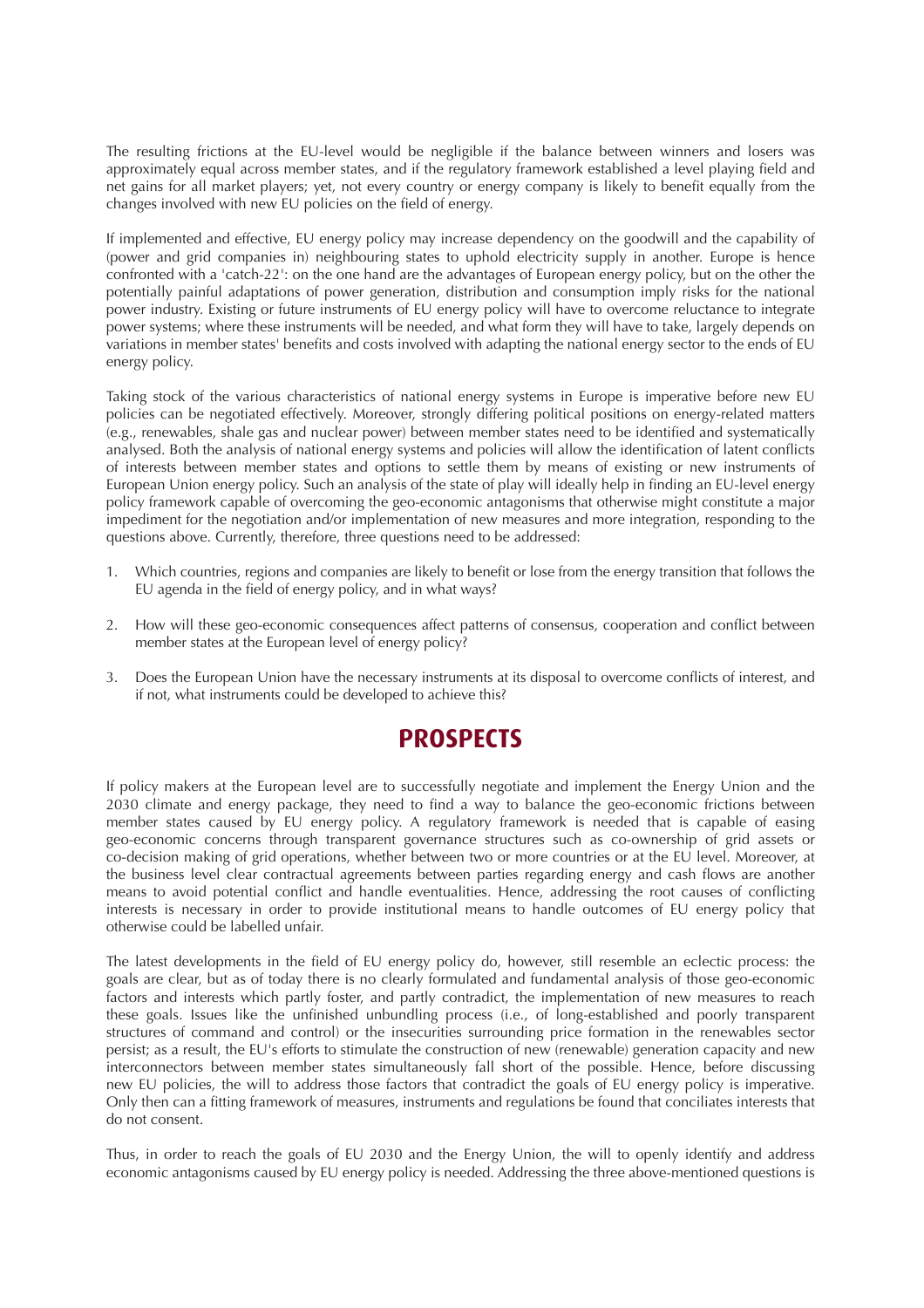The resulting frictions at the EU-level would be negligible if the balance between winners and losers was approximately equal across member states, and if the regulatory framework established a level playing field and net gains for all market players; yet, not every country or energy company is likely to benefit equally from the changes involved with new EU policies on the field of energy.

If implemented and effective, EU energy policy may increase dependency on the goodwill and the capability of (power and grid companies in) neighbouring states to uphold electricity supply in another. Europe is hence confronted with a 'catch-22': on the one hand are the advantages of European energy policy, but on the other the potentially painful adaptations of power generation, distribution and consumption imply risks for the national power industry. Existing or future instruments of EU energy policy will have to overcome reluctance to integrate power systems; where these instruments will be needed, and what form they will have to take, largely depends on variations in member states' benefits and costs involved with adapting the national energy sector to the ends of EU energy policy.

Taking stock of the various characteristics of national energy systems in Europe is imperative before new EU policies can be negotiated effectively. Moreover, strongly differing political positions on energy-related matters (e.g., renewables, shale gas and nuclear power) between member states need to be identified and systematically analysed. Both the analysis of national energy systems and policies will allow the identification of latent conflicts of interests between member states and options to settle them by means of existing or new instruments of European Union energy policy. Such an analysis of the state of play will ideally help in finding an EU-level energy policy framework capable of overcoming the geo-economic antagonisms that otherwise might constitute a major impediment for the negotiation and/or implementation of new measures and more integration, responding to the questions above. Currently, therefore, three questions need to be addressed:

- 1. Which countries, regions and companies are likely to benefit or lose from the energy transition that follows the EU agenda in the field of energy policy, and in what ways?
- 2. How will these geo-economic consequences affect patterns of consensus, cooperation and conflict between member states at the European level of energy policy?
- 3. Does the European Union have the necessary instruments at its disposal to overcome conflicts of interest, and if not, what instruments could be developed to achieve this?

### **PROSPECTS**

If policy makers at the European level are to successfully negotiate and implement the Energy Union and the 2030 climate and energy package, they need to find a way to balance the geo-economic frictions between member states caused by EU energy policy. A regulatory framework is needed that is capable of easing geo-economic concerns through transparent governance structures such as co-ownership of grid assets or co-decision making of grid operations, whether between two or more countries or at the EU level. Moreover, at the business level clear contractual agreements between parties regarding energy and cash flows are another means to avoid potential conflict and handle eventualities. Hence, addressing the root causes of conflicting interests is necessary in order to provide institutional means to handle outcomes of EU energy policy that otherwise could be labelled unfair.

The latest developments in the field of EU energy policy do, however, still resemble an eclectic process: the goals are clear, but as of today there is no clearly formulated and fundamental analysis of those geo-economic factors and interests which partly foster, and partly contradict, the implementation of new measures to reach these goals. Issues like the unfinished unbundling process (i.e., of long-established and poorly transparent structures of command and control) or the insecurities surrounding price formation in the renewables sector persist; as a result, the EU's efforts to stimulate the construction of new (renewable) generation capacity and new interconnectors between member states simultaneously fall short of the possible. Hence, before discussing new EU policies, the will to address those factors that contradict the goals of EU energy policy is imperative. Only then can a fitting framework of measures, instruments and regulations be found that conciliates interests that do not consent.

Thus, in order to reach the goals of EU 2030 and the Energy Union, the will to openly identify and address economic antagonisms caused by EU energy policy is needed. Addressing the three above-mentioned questions is